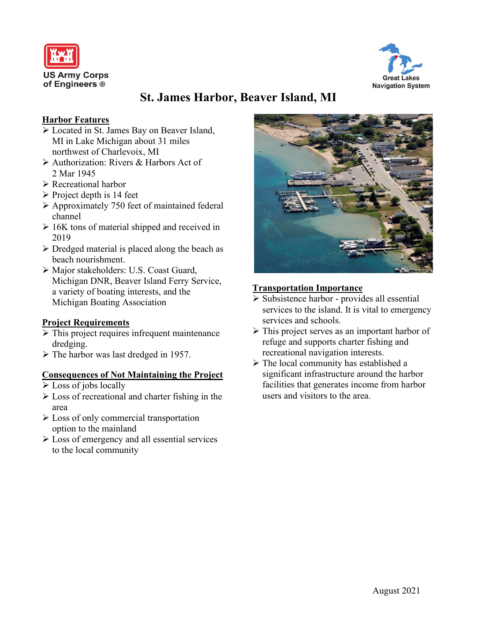



# **St. James Harbor, Beaver Island, MI**

## **Harbor Features**

- Located in St. James Bay on Beaver Island, MI in Lake Michigan about 31 miles northwest of Charlevoix, MI
- Authorization: Rivers & Harbors Act of 2 Mar 1945
- Recreational harbor
- $\triangleright$  Project depth is 14 feet
- Approximately 750 feet of maintained federal channel
- $\geq 16K$  tons of material shipped and received in 2019
- $\triangleright$  Dredged material is placed along the beach as beach nourishment.
- Major stakeholders: U.S. Coast Guard, Michigan DNR, Beaver Island Ferry Service, a variety of boating interests, and the Michigan Boating Association

## **Project Requirements**

- $\triangleright$  This project requires infrequent maintenance dredging.
- $\triangleright$  The harbor was last dredged in 1957.

#### **Consequences of Not Maintaining the Project**

- $\triangleright$  Loss of jobs locally
- $\triangleright$  Loss of recreational and charter fishing in the area
- Loss of only commercial transportation option to the mainland
- $\triangleright$  Loss of emergency and all essential services to the local community



### **Transportation Importance**

- $\triangleright$  Subsistence harbor provides all essential services to the island. It is vital to emergency services and schools.
- $\triangleright$  This project serves as an important harbor of refuge and supports charter fishing and recreational navigation interests.
- $\triangleright$  The local community has established a significant infrastructure around the harbor facilities that generates income from harbor users and visitors to the area.